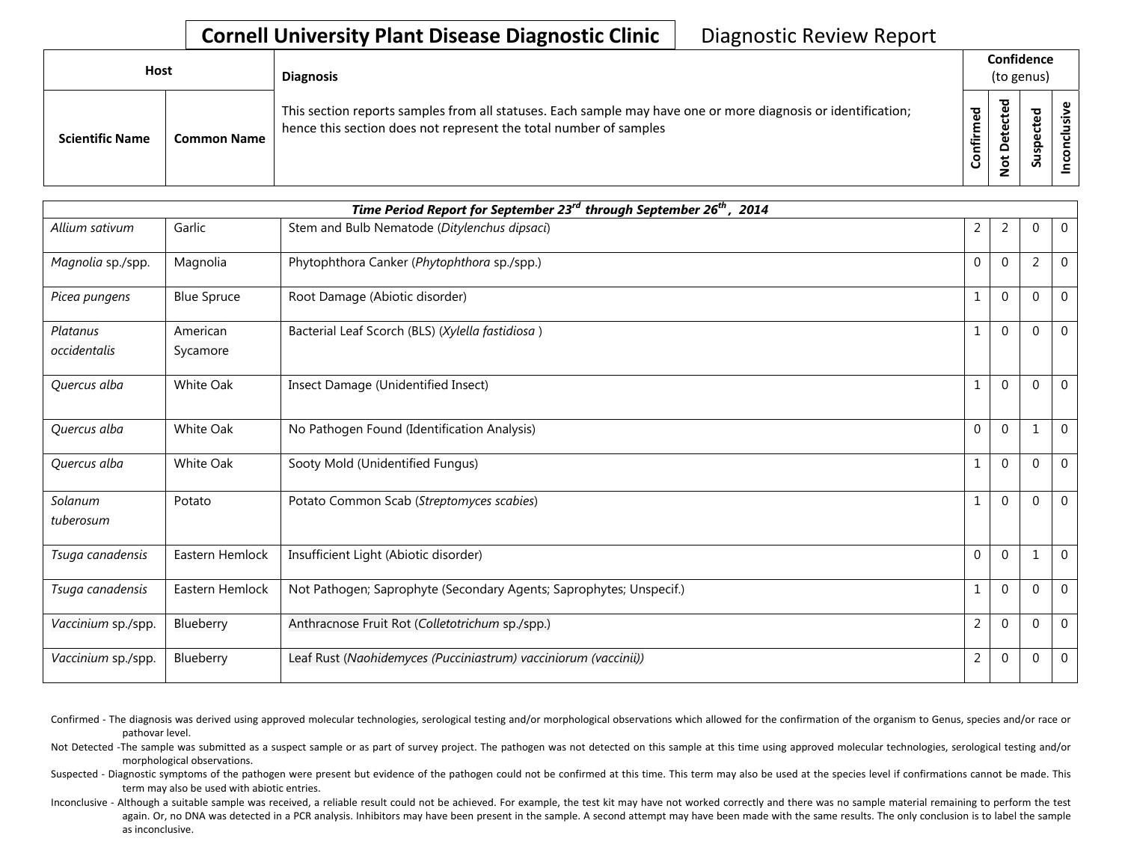## **Cornell University Plant Disease Diagnostic Clinic** | Diagnostic Review Report

| Host                   |                    | <b>Diagnosis</b>                                                                                                                                                                   | Confidence<br>(to genus) |                   |        |  |
|------------------------|--------------------|------------------------------------------------------------------------------------------------------------------------------------------------------------------------------------|--------------------------|-------------------|--------|--|
| <b>Scientific Name</b> | <b>Common Name</b> | This section reports samples from all statuses. Each sample may have one or more diagnosis or identification;<br>hence this section does not represent the total number of samples | ठ<br>Ō<br>٤<br>nfir      | 73<br>Φ<br>⊷<br>۵ | ௨<br>S |  |

| Time Period Report for September 23 <sup>rd</sup> through September 26 <sup>th</sup> , 2014 |                      |                                                                     |                |                |                |                |  |  |
|---------------------------------------------------------------------------------------------|----------------------|---------------------------------------------------------------------|----------------|----------------|----------------|----------------|--|--|
| Allium sativum                                                                              | Garlic               | Stem and Bulb Nematode (Ditylenchus dipsaci)                        | 2              | 2              | 0              | $\overline{0}$ |  |  |
| Magnolia sp./spp.                                                                           | Magnolia             | Phytophthora Canker (Phytophthora sp./spp.)                         | $\Omega$       | $\Omega$       | $\overline{2}$ | $\Omega$       |  |  |
| Picea pungens                                                                               | <b>Blue Spruce</b>   | Root Damage (Abiotic disorder)                                      | $\mathbf{1}$   | $\Omega$       | $\Omega$       | $\overline{0}$ |  |  |
| Platanus<br>occidentalis                                                                    | American<br>Sycamore | Bacterial Leaf Scorch (BLS) (Xylella fastidiosa)                    | 1              | $\Omega$       | 0              | $\Omega$       |  |  |
| Quercus alba                                                                                | White Oak            | Insect Damage (Unidentified Insect)                                 | $\mathbf{1}$   | $\Omega$       | 0              | $\Omega$       |  |  |
| Quercus alba                                                                                | White Oak            | No Pathogen Found (Identification Analysis)                         | $\Omega$       | $\Omega$       |                | $\mathbf 0$    |  |  |
| Quercus alba                                                                                | White Oak            | Sooty Mold (Unidentified Fungus)                                    | $\mathbf{1}$   | $\Omega$       | 0              | $\overline{0}$ |  |  |
| Solanum<br>tuberosum                                                                        | Potato               | Potato Common Scab (Streptomyces scabies)                           | $\mathbf{1}$   | $\Omega$       | 0              | $\Omega$       |  |  |
| Tsuga canadensis                                                                            | Eastern Hemlock      | Insufficient Light (Abiotic disorder)                               | $\Omega$       | $\Omega$       | $\mathbf{1}$   | $\Omega$       |  |  |
| Tsuga canadensis                                                                            | Eastern Hemlock      | Not Pathogen; Saprophyte (Secondary Agents; Saprophytes; Unspecif.) | $\mathbf{1}$   | $\Omega$       | 0              | $\Omega$       |  |  |
| Vaccinium sp./spp.                                                                          | Blueberry            | Anthracnose Fruit Rot (Colletotrichum sp./spp.)                     | $\overline{2}$ | $\Omega$       | $\Omega$       | $\Omega$       |  |  |
| Vaccinium sp./spp.                                                                          | Blueberry            | Leaf Rust (Naohidemyces (Pucciniastrum) vacciniorum (vaccinii))     | $\overline{c}$ | $\overline{0}$ | $\mathbf 0$    | $\mathbf 0$    |  |  |

Confirmed - The diagnosis was derived using approved molecular technologies, serological testing and/or morphological observations which allowed for the confirmation of the organism to Genus, species and/or race or pathovar level.

Not Detected -The sample was submitted as a suspect sample or as part of survey project. The pathogen was not detected on this sample at this time using approved molecular technologies, serological testing and/or morphological observations.

Suspected - Diagnostic symptoms of the pathogen were present but evidence of the pathogen could not be confirmed at this time. This term may also be used at the species level if confirmations cannot be made. This term may also be used with abiotic entries.

Inconclusive - Although a suitable sample was received, a reliable result could not be achieved. For example, the test kit may have not worked correctly and there was no sample material remaining to perform the test again. Or, no DNA was detected in a PCR analysis. Inhibitors may have been present in the sample. A second attempt may have been made with the same results. The only conclusion is to label the sample as inconclusive.